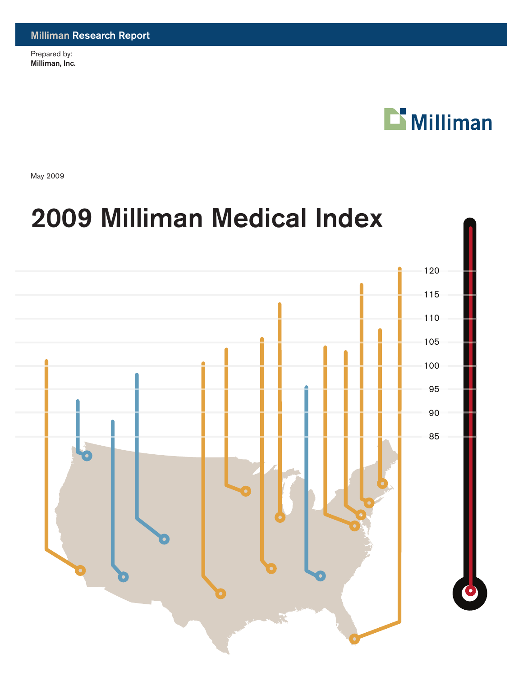Prepared by: Milliman, Inc.



May 2009

# **Percentage of National Average** 2009 Milliman Medical Index

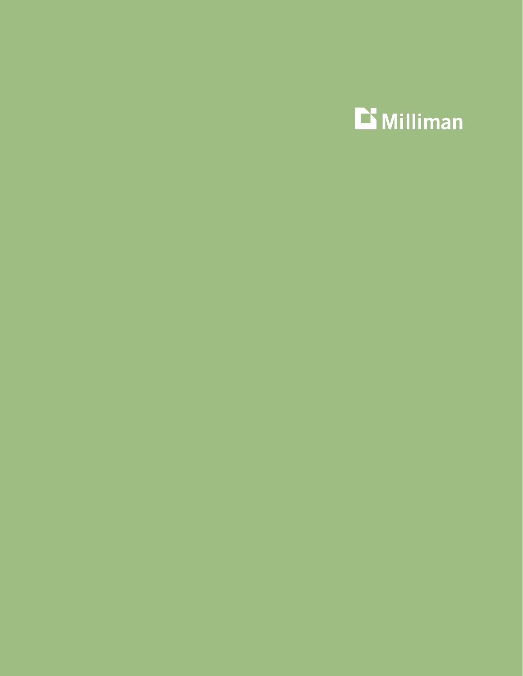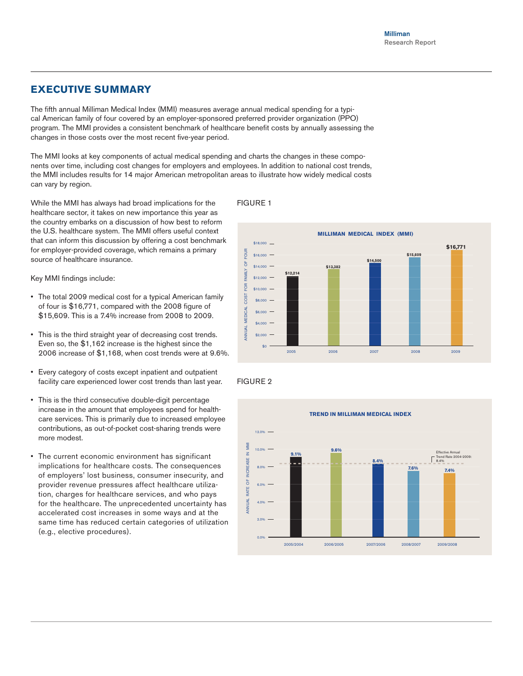# **Executive Summary**

The fifth annual Milliman Medical Index (MMI) measures average annual medical spending for a typical American family of four covered by an employer-sponsored preferred provider organization (PPO) program. The MMI provides a consistent benchmark of healthcare benefit costs by annually assessing the changes in those costs over the most recent five-year period.

The MMI looks at key components of actual medical spending and charts the changes in these components over time, including cost changes for employers and employees. In addition to national cost trends, the MMI includes results for 14 major American metropolitan areas to illustrate how widely medical costs can vary by region.

While the MMI has always had broad implications for the healthcare sector, it takes on new importance this year as the country embarks on a discussion of how best to reform the U.S. healthcare system. The MMI offers useful context that can inform this discussion by offering a cost benchmark for employer-provided coverage, which remains a primary source of healthcare insurance.

Key MMI findings include:

- The total 2009 medical cost for a typical American family of four is \$16,771, compared with the 2008 figure of \$15,609. This is a 7.4% increase from 2008 to 2009.
- This is the third straight year of decreasing cost trends. Even so, the \$1,162 increase is the highest since the 2006 increase of \$1,168, when cost trends were at 9.6%.
- • Every category of costs except inpatient and outpatient facility care experienced lower cost trends than last year.
- This is the third consecutive double-digit percentage increase in the amount that employees spend for healthcare services. This is primarily due to increased employee contributions, as out-of-pocket cost-sharing trends were more modest.
- The current economic environment has significant implications for healthcare costs. The consequences of employers' lost business, consumer insecurity, and provider revenue pressures affect healthcare utilization, charges for healthcare services, and who pays for the healthcare. The unprecedented uncertainty has accelerated cost increases in some ways and at the same time has reduced certain categories of utilization (e.g., elective procedures).





#### FIGURE 2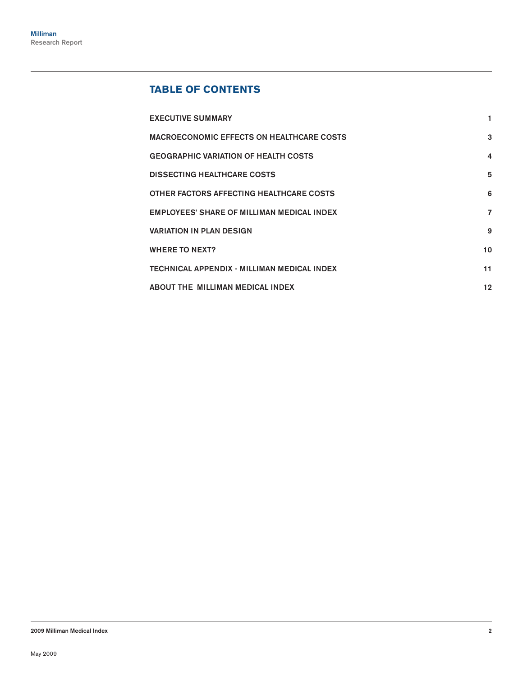# **Table of Contents**

| <b>EXECUTIVE SUMMARY</b>                          |                  |
|---------------------------------------------------|------------------|
| <b>MACROECONOMIC EFFECTS ON HEALTHCARE COSTS</b>  | 3                |
| <b>GEOGRAPHIC VARIATION OF HEALTH COSTS</b>       | $\boldsymbol{4}$ |
| <b>DISSECTING HEALTHCARE COSTS</b>                | 5                |
| OTHER FACTORS AFFECTING HEALTHCARE COSTS          | 6                |
| <b>EMPLOYEES' SHARE OF MILLIMAN MEDICAL INDEX</b> | $\overline{7}$   |
| <b>VARIATION IN PLAN DESIGN</b>                   | 9                |
| <b>WHERE TO NEXT?</b>                             | 10               |
| TECHNICAL APPENDIX - MILLIMAN MEDICAL INDEX       | 11               |
| ABOUT THE MILLIMAN MEDICAL INDEX                  | 12               |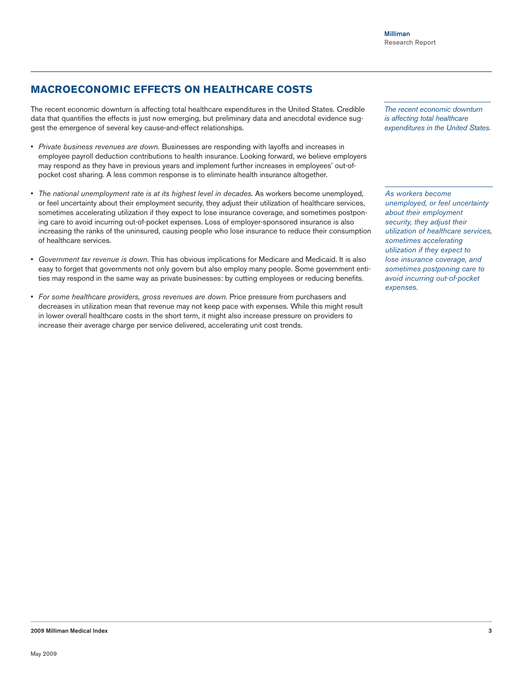# **Macroeconomic effects on healthcare costs**

The recent economic downturn is affecting total healthcare expenditures in the United States. Credible data that quantifies the effects is just now emerging, but preliminary data and anecdotal evidence suggest the emergence of several key cause-and-effect relationships.

- • *Private business revenues are down.* Businesses are responding with layoffs and increases in employee payroll deduction contributions to health insurance. Looking forward, we believe employers may respond as they have in previous years and implement further increases in employees' out-ofpocket cost sharing. A less common response is to eliminate health insurance altogether.
- • *The national unemployment rate is at its highest level in decades.* As workers become unemployed, or feel uncertainty about their employment security, they adjust their utilization of healthcare services, sometimes accelerating utilization if they expect to lose insurance coverage, and sometimes postponing care to avoid incurring out-of-pocket expenses. Loss of employer-sponsored insurance is also increasing the ranks of the uninsured, causing people who lose insurance to reduce their consumption of healthcare services.
- • *Government tax revenue is down.* This has obvious implications for Medicare and Medicaid. It is also easy to forget that governments not only govern but also employ many people. Some government entities may respond in the same way as private businesses: by cutting employees or reducing benefits.
- • *For some healthcare providers, gross revenues are down.* Price pressure from purchasers and decreases in utilization mean that revenue may not keep pace with expenses. While this might result in lower overall healthcare costs in the short term, it might also increase pressure on providers to increase their average charge per service delivered, accelerating unit cost trends.

*The recent economic downturn is affecting total healthcare expenditures in the United States.*

*As workers become unemployed, or feel uncertainty about their employment security, they adjust their utilization of healthcare services, sometimes accelerating utilization if they expect to lose insurance coverage, and sometimes postponing care to avoid incurring out-of-pocket expenses.*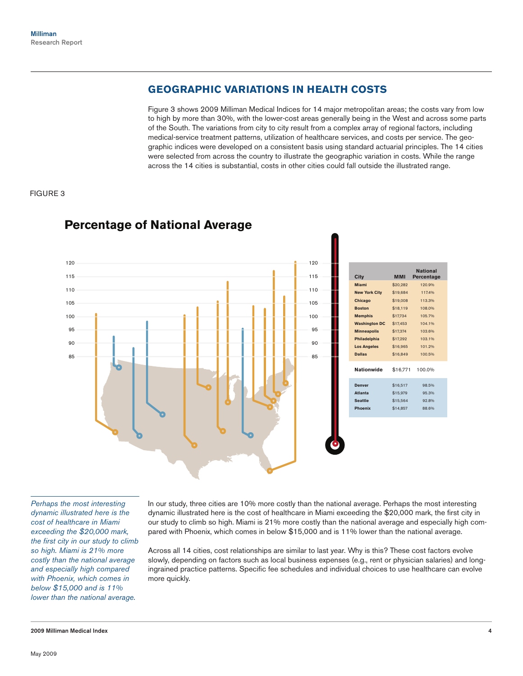# **Geographic variations in health costs**

Figure 3 shows 2009 Milliman Medical Indices for 14 major metropolitan areas; the costs vary from low to high by more than 30%, with the lower-cost areas generally being in the West and across some parts of the South. The variations from city to city result from a complex array of regional factors, including medical-service treatment patterns, utilization of healthcare services, and costs per service. The geographic indices were developed on a consistent basis using standard actuarial principles. The 14 cities were selected from across the country to illustrate the geographic variation in costs. While the range across the 14 cities is substantial, costs in other cities could fall outside the illustrated range.

## FIGURE 3



# **Percentage of National Average**

*Perhaps the most interesting dynamic illustrated here is the cost of healthcare in Miami exceeding the \$20,000 mark, the first city in our study to climb so high. Miami is 21% more costly than the national average and especially high compared with Phoenix, which comes in below \$15,000 and is 11% lower than the national average.*

In our study, three cities are 10% more costly than the national average. Perhaps the most interesting dynamic illustrated here is the cost of healthcare in Miami exceeding the \$20,000 mark, the first city in our study to climb so high. Miami is 21% more costly than the national average and especially high compared with Phoenix, which comes in below \$15,000 and is 11% lower than the national average.

Across all 14 cities, cost relationships are similar to last year. Why is this? These cost factors evolve slowly, depending on factors such as local business expenses (e.g., rent or physician salaries) and longingrained practice patterns. Specific fee schedules and individual choices to use healthcare can evolve more quickly.

#### 2009 Milliman Medical Index 4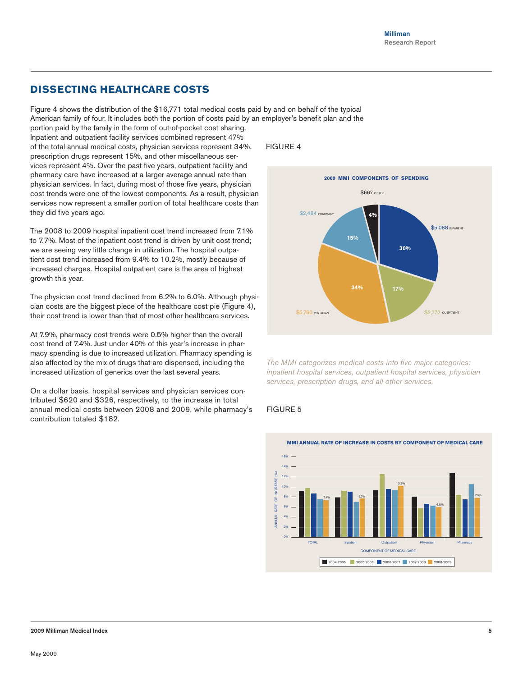# **Dissecting healthcare costs**

Figure 4 shows the distribution of the \$16,771 total medical costs paid by and on behalf of the typical American family of four. It includes both the portion of costs paid by an employer's benefit plan and the

portion paid by the family in the form of out-of-pocket cost sharing. Inpatient and outpatient facility services combined represent 47% of the total annual medical costs, physician services represent 34%, prescription drugs represent 15%, and other miscellaneous services represent 4%. Over the past five years, outpatient facility and pharmacy care have increased at a larger average annual rate than physician services. In fact, during most of those five years, physician cost trends were one of the lowest components. As a result, physician services now represent a smaller portion of total healthcare costs than they did five years ago.

The 2008 to 2009 hospital inpatient cost trend increased from 7.1% to 7.7%. Most of the inpatient cost trend is driven by unit cost trend; we are seeing very little change in utilization. The hospital outpatient cost trend increased from 9.4% to 10.2%, mostly because of increased charges. Hospital outpatient care is the area of highest growth this year.

The physician cost trend declined from 6.2% to 6.0%. Although physician costs are the biggest piece of the healthcare cost pie (Figure 4), their cost trend is lower than that of most other healthcare services.

At 7.9%, pharmacy cost trends were 0.5% higher than the overall cost trend of 7.4%. Just under 40% of this year's increase in pharmacy spending is due to increased utilization. Pharmacy spending is also affected by the mix of drugs that are dispensed, including the increased utilization of generics over the last several years.

On a dollar basis, hospital services and physician services contributed \$620 and \$326, respectively, to the increase in total annual medical costs between 2008 and 2009, while pharmacy's contribution totaled \$182.

## FIGURE 4



*The MMI categorizes medical costs into five major categories: inpatient hospital services, outpatient hospital services, physician services, prescription drugs, and all other services.*

## FIGURE 5

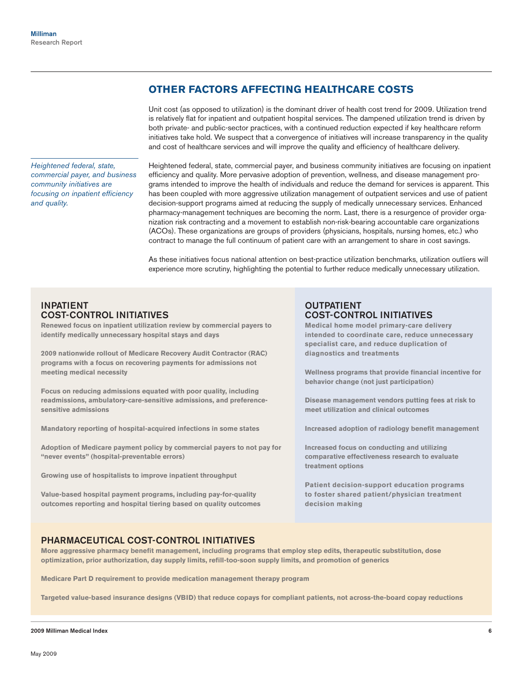# **Other factors affecting healthcare costs**

Unit cost (as opposed to utilization) is the dominant driver of health cost trend for 2009. Utilization trend is relatively flat for inpatient and outpatient hospital services. The dampened utilization trend is driven by both private- and public-sector practices, with a continued reduction expected if key healthcare reform initiatives take hold. We suspect that a convergence of initiatives will increase transparency in the quality and cost of healthcare services and will improve the quality and efficiency of healthcare delivery.

*Heightened federal, state, commercial payer, and business community initiatives are focusing on inpatient efficiency and quality.*

Heightened federal, state, commercial payer, and business community initiatives are focusing on inpatient efficiency and quality. More pervasive adoption of prevention, wellness, and disease management programs intended to improve the health of individuals and reduce the demand for services is apparent. This has been coupled with more aggressive utilization management of outpatient services and use of patient decision-support programs aimed at reducing the supply of medically unnecessary services. Enhanced pharmacy-management techniques are becoming the norm. Last, there is a resurgence of provider organization risk contracting and a movement to establish non-risk-bearing accountable care organizations (ACOs). These organizations are groups of providers (physicians, hospitals, nursing homes, etc.) who contract to manage the full continuum of patient care with an arrangement to share in cost savings.

As these initiatives focus national attention on best-practice utilization benchmarks, utilization outliers will experience more scrutiny, highlighting the potential to further reduce medically unnecessary utilization.

## **INPATIENT** cost-control initiatives

**Renewed focus on inpatient utilization review by commercial payers to identify medically unnecessary hospital stays and days**

**2009 nationwide rollout of Medicare Recovery Audit Contractor (RAC) programs with a focus on recovering payments for admissions not meeting medical necessity**

**Focus on reducing admissions equated with poor quality, including readmissions, ambulatory-care-sensitive admissions, and preferencesensitive admissions**

**Mandatory reporting of hospital-acquired infections in some states**

**Adoption of Medicare payment policy by commercial payers to not pay for "never events" (hospital-preventable errors)** 

**Growing use of hospitalists to improve inpatient throughput**

**Value-based hospital payment programs, including pay-for-quality outcomes reporting and hospital tiering based on quality outcomes**

## **OUTPATIENT** cost-control initiatives

**Medical home model primary-care delivery intended to coordinate care, reduce unnecessary specialist care, and reduce duplication of diagnostics and treatments** 

**Wellness programs that provide financial incentive for behavior change (not just participation)**

**Disease management vendors putting fees at risk to meet utilization and clinical outcomes**

**Increased adoption of radiology benefit management** 

**Increased focus on conducting and utilizing comparative effectiveness research to evaluate treatment options** 

**Patient decision-support education programs to foster shared patient/physician treatment decision making**

## Pharmaceutical cost-control initiatives

**More aggressive pharmacy benefit management, including programs that employ step edits, therapeutic substitution, dose optimization, prior authorization, day supply limits, refill-too-soon supply limits, and promotion of generics**

**Medicare Part D requirement to provide medication management therapy program**

**Targeted value-based insurance designs (VBID) that reduce copays for compliant patients, not across-the-board copay reductions**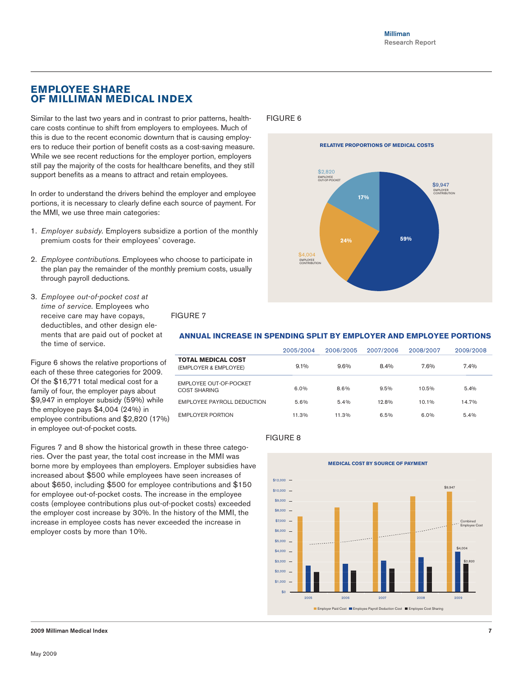## **Employee share of Milliman Medical Index**

Similar to the last two years and in contrast to prior patterns, healthcare costs continue to shift from employers to employees. Much of this is due to the recent economic downturn that is causing employers to reduce their portion of benefit costs as a cost-saving measure. While we see recent reductions for the employer portion, employers still pay the majority of the costs for healthcare benefits, and they still support benefits as a means to attract and retain employees.

In order to understand the drivers behind the employer and employee portions, it is necessary to clearly define each source of payment. For the MMI, we use three main categories:

- 1. *Employer subsidy.* Employers subsidize a portion of the monthly premium costs for their employees' coverage.
- 2. *Employee contributions.* Employees who choose to participate in the plan pay the remainder of the monthly premium costs, usually through payroll deductions.
- 3. *Employee out-of-pocket cost at time of service.* Employees who receive care may have copays, deductibles, and other design elements that are paid out of pocket at the time of service.

Figure 6 shows the relative proportions of each of these three categories for 2009. Of the \$16,771 total medical cost for a family of four, the employer pays about \$9,947 in employer subsidy (59%) while the employee pays \$4,004 (24%) in employee contributions and \$2,820 (17%) in employee out-of-pocket costs.

FIGURE 7

## FIGURE 6



### **ANNUAL INCREASE IN SPENDING SPLIT BY EMPLOYER AND EMPLOYEE PORTIONS**

|                                                    | 2005/2004 | 2006/2005 | 2007/2006 | 2008/2007 | 2009/2008 |
|----------------------------------------------------|-----------|-----------|-----------|-----------|-----------|
| <b>TOTAL MEDICAL COST</b><br>(EMPLOYER & EMPLOYEE) | 9.1%      | $9.6\%$   | 8.4%      | 7.6%      | 7.4%      |
| EMPLOYEE OUT-OF-POCKET<br><b>COST SHARING</b>      | $6.0\%$   | 8.6%      | 9.5%      | 10.5%     | 5.4%      |
| EMPLOYEE PAYROLL DEDUCTION                         | 5.6%      | 5.4%      | 12.8%     | 10.1%     | 14.7%     |
| EMPLOYER PORTION                                   | 11.3%     | 11.3%     | 6.5%      | 6.0%      | 5.4%      |

Figures 7 and 8 show the historical growth in these three categories. Over the past year, the total cost increase in the MMI was borne more by employees than employers. Employer subsidies have increased about \$500 while employees have seen increases of about \$650, including \$500 for employee contributions and \$150 for employee out-of-pocket costs. The increase in the employee costs (employee contributions plus out-of-pocket costs) exceeded the employer cost increase by 30%. In the history of the MMI, the increase in employee costs has never exceeded the increase in employer costs by more than 10%.

#### FIGURE 8

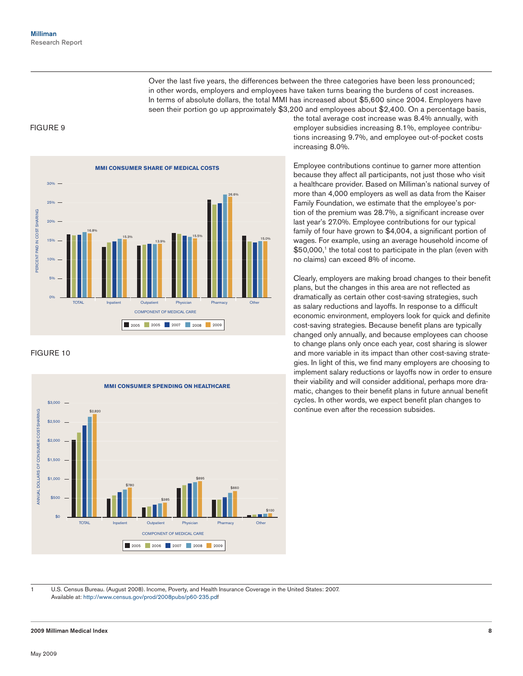Over the last five years, the differences between the three categories have been less pronounced; in other words, employers and employees have taken turns bearing the burdens of cost increases. In terms of absolute dollars, the total MMI has increased about \$5,600 since 2004. Employers have seen their portion go up approximately \$3,200 and employees about \$2,400. On a percentage basis,

## FIGURE 9



#### FIGURE 10



the total average cost increase was 8.4% annually, with employer subsidies increasing 8.1%, employee contributions increasing 9.7%, and employee out-of-pocket costs increasing 8.0%.

Employee contributions continue to garner more attention because they affect all participants, not just those who visit a healthcare provider. Based on Milliman's national survey of more than 4,000 employers as well as data from the Kaiser Family Foundation, we estimate that the employee's portion of the premium was 28.7%, a significant increase over last year's 27.0%. Employee contributions for our typical family of four have grown to \$4,004, a significant portion of wages. For example, using an average household income of \$50,000,<sup>1</sup> the total cost to participate in the plan (even with no claims) can exceed 8% of income.

Clearly, employers are making broad changes to their benefit plans, but the changes in this area are not reflected as dramatically as certain other cost-saving strategies, such as salary reductions and layoffs. In response to a difficult economic environment, employers look for quick and definite cost-saving strategies. Because benefit plans are typically changed only annually, and because employees can choose to change plans only once each year, cost sharing is slower and more variable in its impact than other cost-saving strategies. In light of this, we find many employers are choosing to implement salary reductions or layoffs now in order to ensure their viability and will consider additional, perhaps more dramatic, changes to their benefit plans in future annual benefit cycles. In other words, we expect benefit plan changes to continue even after the recession subsides.

1 U.S. Census Bureau. (August 2008). Income, Poverty, and Health Insurance Coverage in the United States: 2007. Available at: http://www.census.gov/prod/2008pubs/p60-235.pdf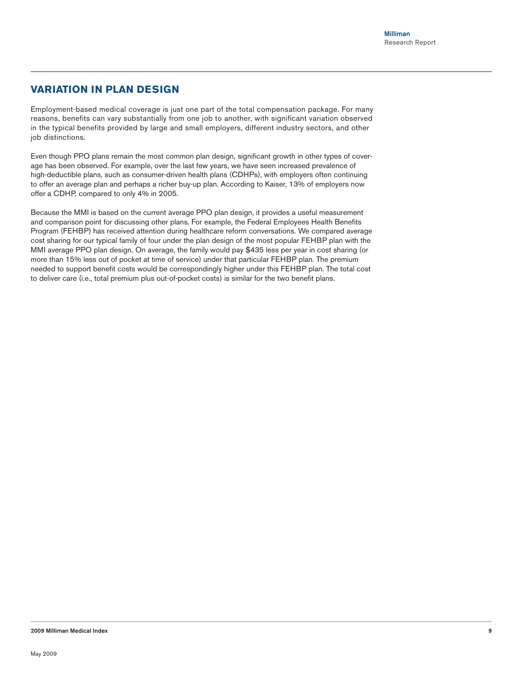## **Variation in plan design**

Employment-based medical coverage is just one part of the total compensation package. For many reasons, benefits can vary substantially from one job to another, with significant variation observed in the typical benefits provided by large and small employers, different industry sectors, and other job distinctions.

Even though PPO plans remain the most common plan design, significant growth in other types of coverage has been observed. For example, over the last few years, we have seen increased prevalence of high-deductible plans, such as consumer-driven health plans (CDHPs), with employers often continuing to offer an average plan and perhaps a richer buy-up plan. According to Kaiser, 13% of employers now offer a CDHP, compared to only 4% in 2005.

Because the MMI is based on the current average PPO plan design, it provides a useful measurement and comparison point for discussing other plans. For example, the Federal Employees Health Benefits Program (FEHBP) has received attention during healthcare reform conversations. We compared average cost sharing for our typical family of four under the plan design of the most popular FEHBP plan with the MMI average PPO plan design. On average, the family would pay \$435 less per year in cost sharing (or more than 15% less out of pocket at time of service) under that particular FEHBP plan. The premium needed to support benefit costs would be correspondingly higher under this FEHBP plan. The total cost to deliver care (i.e., total premium plus out-of-pocket costs) is similar for the two benefit plans.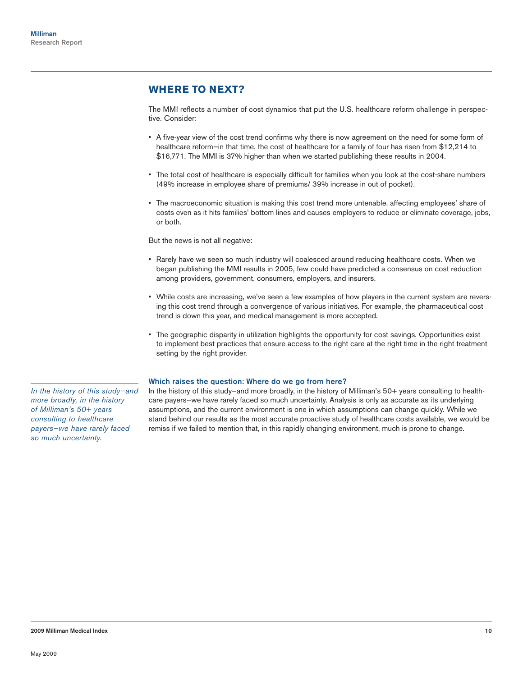# **Where to next?**

The MMI reflects a number of cost dynamics that put the U.S. healthcare reform challenge in perspective. Consider:

- • A five-year view of the cost trend confirms why there is now agreement on the need for some form of healthcare reform—in that time, the cost of healthcare for a family of four has risen from \$12,214 to \$16,771. The MMI is 37% higher than when we started publishing these results in 2004.
- • The total cost of healthcare is especially difficult for families when you look at the cost-share numbers (49% increase in employee share of premiums/ 39% increase in out of pocket).
- • The macroeconomic situation is making this cost trend more untenable, affecting employees' share of costs even as it hits families' bottom lines and causes employers to reduce or eliminate coverage, jobs, or both.

But the news is not all negative:

- • Rarely have we seen so much industry will coalesced around reducing healthcare costs. When we began publishing the MMI results in 2005, few could have predicted a consensus on cost reduction among providers, government, consumers, employers, and insurers.
- • While costs are increasing, we've seen a few examples of how players in the current system are reversing this cost trend through a convergence of various initiatives. For example, the pharmaceutical cost trend is down this year, and medical management is more accepted.
- • The geographic disparity in utilization highlights the opportunity for cost savings. Opportunities exist to implement best practices that ensure access to the right care at the right time in the right treatment setting by the right provider.

#### Which raises the question: Where do we go from here?

In the history of this study–and more broadly, in the history of Milliman's 50+ years consulting to healthcare payers—we have rarely faced so much uncertainty. Analysis is only as accurate as its underlying assumptions, and the current environment is one in which assumptions can change quickly. While we stand behind our results as the most accurate proactive study of healthcare costs available, we would be remiss if we failed to mention that, in this rapidly changing environment, much is prone to change.

*In the history of this study—and more broadly, in the history of Milliman's 50+ years consulting to healthcare payers—we have rarely faced so much uncertainty.*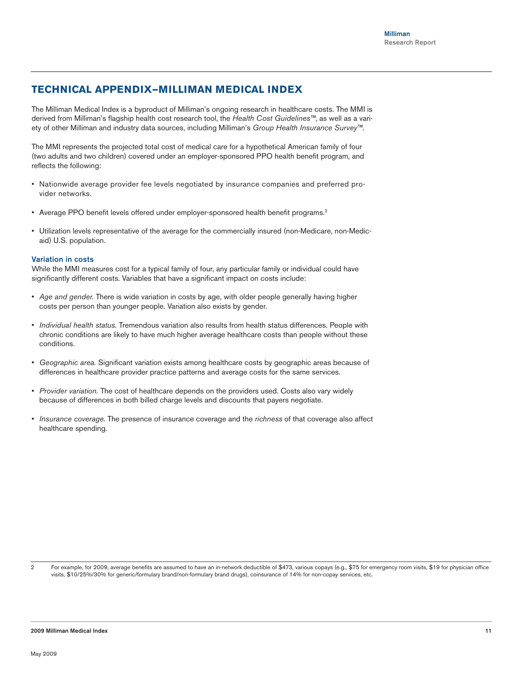## **Technical Appendix—Milliman Medical Index**

The Milliman Medical Index is a byproduct of Milliman's ongoing research in healthcare costs. The MMI is derived from Milliman's flagship health cost research tool, the *Health Cost Guidelines™*, as well as a variety of other Milliman and industry data sources, including Milliman's *Group Health Insurance Survey™*.

The MMI represents the projected total cost of medical care for a hypothetical American family of four (two adults and two children) covered under an employer-sponsored PPO health benefit program, and reflects the following:

- • Nationwide average provider fee levels negotiated by insurance companies and preferred provider networks.
- Average PPO benefit levels offered under employer-sponsored health benefit programs.<sup>2</sup>
- • Utilization levels representative of the average for the commercially insured (non-Medicare, non-Medicaid) U.S. population.

#### Variation in costs

While the MMI measures cost for a typical family of four, any particular family or individual could have significantly different costs. Variables that have a significant impact on costs include:

- • *Age and gender.* There is wide variation in costs by age, with older people generally having higher costs per person than younger people. Variation also exists by gender.
- • *Individual health status.* Tremendous variation also results from health status differences. People with chronic conditions are likely to have much higher average healthcare costs than people without these conditions.
- • *Geographic area.* Significant variation exists among healthcare costs by geographic areas because of differences in healthcare provider practice patterns and average costs for the same services.
- • *Provider variation.* The cost of healthcare depends on the providers used. Costs also vary widely because of differences in both billed charge levels and discounts that payers negotiate.
- • *Insurance coverage.* The presence of insurance coverage and the *richness* of that coverage also affect healthcare spending.

2 For example, for 2009, average benefits are assumed to have an in-network deductible of \$473, various copays (e.g., \$75 for emergency room visits, \$19 for physician office visits, \$10/25%/30% for generic/formulary brand/non-formulary brand drugs), coinsurance of 14% for non-copay services, etc.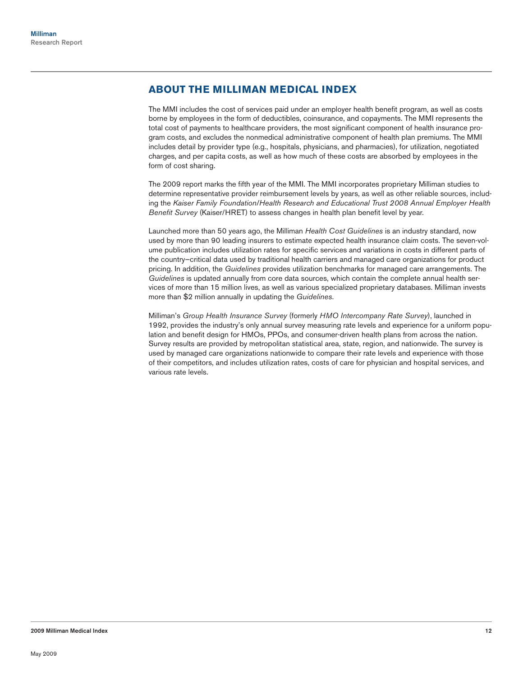## **About the Milliman Medical Index**

The MMI includes the cost of services paid under an employer health benefit program, as well as costs borne by employees in the form of deductibles, coinsurance, and copayments. The MMI represents the total cost of payments to healthcare providers, the most significant component of health insurance program costs, and excludes the nonmedical administrative component of health plan premiums. The MMI includes detail by provider type (e.g., hospitals, physicians, and pharmacies), for utilization, negotiated charges, and per capita costs, as well as how much of these costs are absorbed by employees in the form of cost sharing.

The 2009 report marks the fifth year of the MMI. The MMI incorporates proprietary Milliman studies to determine representative provider reimbursement levels by years, as well as other reliable sources, including the *Kaiser Family Foundation/Health Research and Educational Trust 2008 Annual Employer Health Benefit Survey* (Kaiser/HRET) to assess changes in health plan benefit level by year.

Launched more than 50 years ago, the Milliman *Health Cost Guidelines* is an industry standard, now used by more than 90 leading insurers to estimate expected health insurance claim costs. The seven-volume publication includes utilization rates for specific services and variations in costs in different parts of the country—critical data used by traditional health carriers and managed care organizations for product pricing. In addition, the *Guidelines* provides utilization benchmarks for managed care arrangements. The *Guidelines* is updated annually from core data sources, which contain the complete annual health services of more than 15 million lives, as well as various specialized proprietary databases. Milliman invests more than \$2 million annually in updating the *Guidelines*.

Milliman's *Group Health Insurance Survey* (formerly *HMO Intercompany Rate Survey*), launched in 1992, provides the industry's only annual survey measuring rate levels and experience for a uniform population and benefit design for HMOs, PPOs, and consumer-driven health plans from across the nation. Survey results are provided by metropolitan statistical area, state, region, and nationwide. The survey is used by managed care organizations nationwide to compare their rate levels and experience with those of their competitors, and includes utilization rates, costs of care for physician and hospital services, and various rate levels.